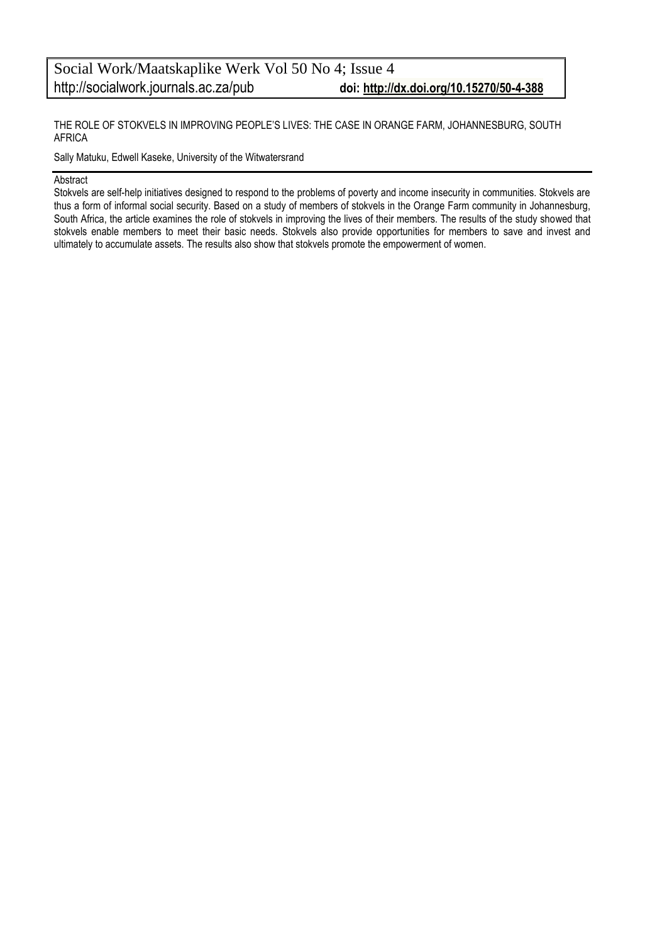THE ROLE OF STOKVELS IN IMPROVING PEOPLE'S LIVES: THE CASE IN ORANGE FARM, JOHANNESBURG, SOUTH AFRICA

Sally Matuku, Edwell Kaseke, University of the Witwatersrand

#### Abstract

Stokvels are self-help initiatives designed to respond to the problems of poverty and income insecurity in communities. Stokvels are thus a form of informal social security. Based on a study of members of stokvels in the Orange Farm community in Johannesburg, South Africa, the article examines the role of stokvels in improving the lives of their members. The results of the study showed that stokvels enable members to meet their basic needs. Stokvels also provide opportunities for members to save and invest and ultimately to accumulate assets. The results also show that stokvels promote the empowerment of women.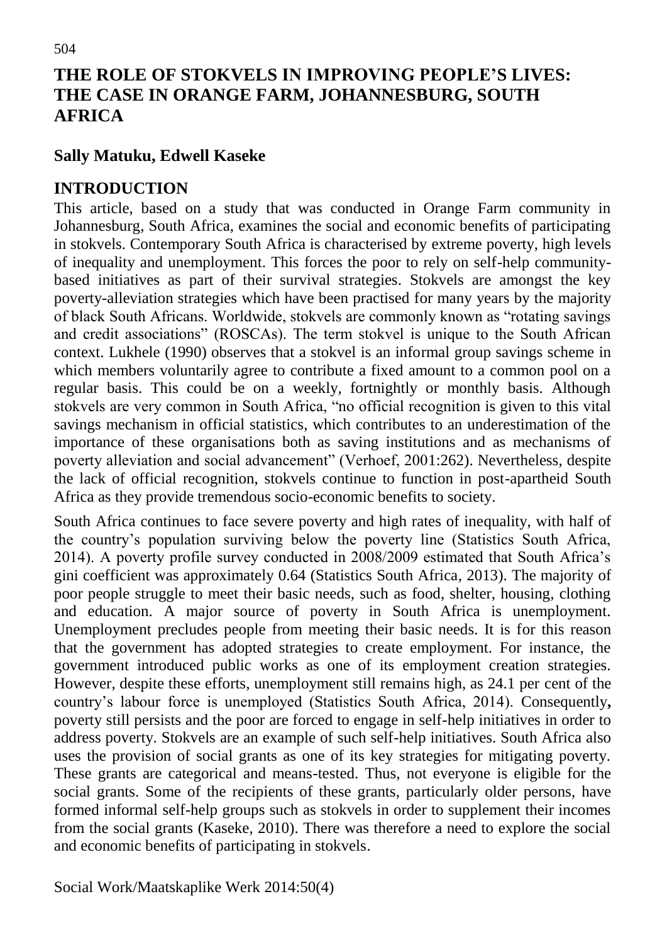# **THE ROLE OF STOKVELS IN IMPROVING PEOPLE'S LIVES: THE CASE IN ORANGE FARM, JOHANNESBURG, SOUTH AFRICA**

### **Sally Matuku, Edwell Kaseke**

### **INTRODUCTION**

This article, based on a study that was conducted in Orange Farm community in Johannesburg, South Africa, examines the social and economic benefits of participating in stokvels. Contemporary South Africa is characterised by extreme poverty, high levels of inequality and unemployment. This forces the poor to rely on self-help communitybased initiatives as part of their survival strategies. Stokvels are amongst the key poverty-alleviation strategies which have been practised for many years by the majority of black South Africans. Worldwide, stokvels are commonly known as "rotating savings and credit associations" (ROSCAs). The term stokvel is unique to the South African context. Lukhele (1990) observes that a stokvel is an informal group savings scheme in which members voluntarily agree to contribute a fixed amount to a common pool on a regular basis. This could be on a weekly, fortnightly or monthly basis. Although stokvels are very common in South Africa, "no official recognition is given to this vital savings mechanism in official statistics, which contributes to an underestimation of the importance of these organisations both as saving institutions and as mechanisms of poverty alleviation and social advancement" (Verhoef, 2001:262). Nevertheless, despite the lack of official recognition, stokvels continue to function in post-apartheid South Africa as they provide tremendous socio-economic benefits to society.

South Africa continues to face severe poverty and high rates of inequality, with half of the country's population surviving below the poverty line (Statistics South Africa, 2014). A poverty profile survey conducted in 2008/2009 estimated that South Africa's gini coefficient was approximately 0.64 (Statistics South Africa, 2013). The majority of poor people struggle to meet their basic needs, such as food, shelter, housing, clothing and education. A major source of poverty in South Africa is unemployment. Unemployment precludes people from meeting their basic needs. It is for this reason that the government has adopted strategies to create employment. For instance, the government introduced public works as one of its employment creation strategies. However, despite these efforts, unemployment still remains high, as 24.1 per cent of the country's labour force is unemployed (Statistics South Africa, 2014). Consequently**,**  poverty still persists and the poor are forced to engage in self-help initiatives in order to address poverty. Stokvels are an example of such self-help initiatives. South Africa also uses the provision of social grants as one of its key strategies for mitigating poverty. These grants are categorical and means-tested. Thus, not everyone is eligible for the social grants. Some of the recipients of these grants, particularly older persons, have formed informal self-help groups such as stokvels in order to supplement their incomes from the social grants (Kaseke, 2010). There was therefore a need to explore the social and economic benefits of participating in stokvels.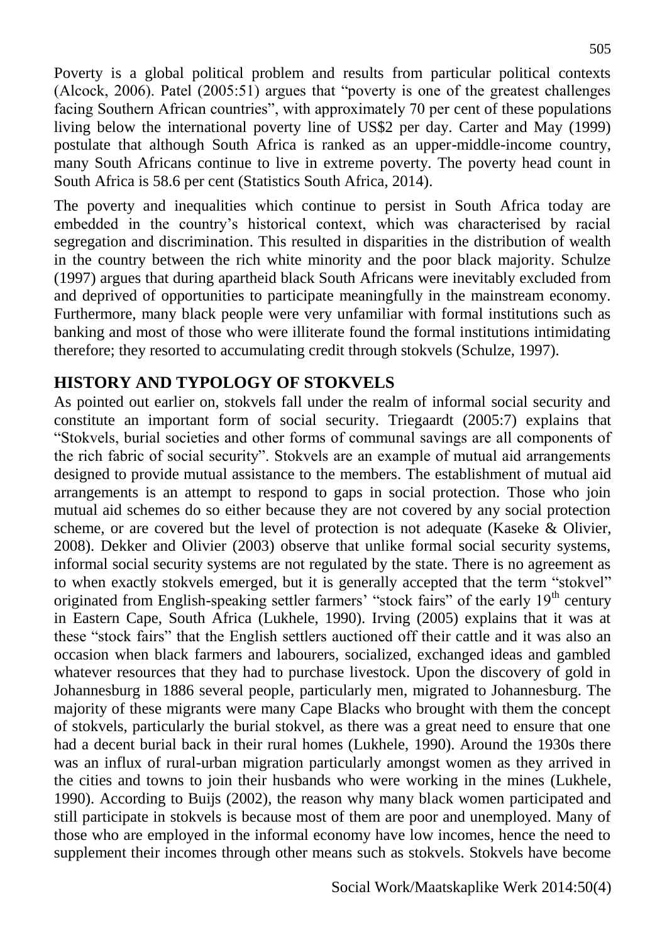Poverty is a global political problem and results from particular political contexts (Alcock, 2006). Patel (2005:51) argues that "poverty is one of the greatest challenges facing Southern African countries", with approximately 70 per cent of these populations living below the international poverty line of US\$2 per day. Carter and May (1999) postulate that although South Africa is ranked as an upper-middle-income country, many South Africans continue to live in extreme poverty. The poverty head count in South Africa is 58.6 per cent (Statistics South Africa, 2014).

The poverty and inequalities which continue to persist in South Africa today are embedded in the country's historical context, which was characterised by racial segregation and discrimination. This resulted in disparities in the distribution of wealth in the country between the rich white minority and the poor black majority. Schulze (1997) argues that during apartheid black South Africans were inevitably excluded from and deprived of opportunities to participate meaningfully in the mainstream economy. Furthermore, many black people were very unfamiliar with formal institutions such as banking and most of those who were illiterate found the formal institutions intimidating therefore; they resorted to accumulating credit through stokvels (Schulze, 1997).

### **HISTORY AND TYPOLOGY OF STOKVELS**

As pointed out earlier on, stokvels fall under the realm of informal social security and constitute an important form of social security. Triegaardt (2005:7) explains that "Stokvels, burial societies and other forms of communal savings are all components of the rich fabric of social security". Stokvels are an example of mutual aid arrangements designed to provide mutual assistance to the members. The establishment of mutual aid arrangements is an attempt to respond to gaps in social protection. Those who join mutual aid schemes do so either because they are not covered by any social protection scheme, or are covered but the level of protection is not adequate (Kaseke & Olivier, 2008). Dekker and Olivier (2003) observe that unlike formal social security systems, informal social security systems are not regulated by the state. There is no agreement as to when exactly stokvels emerged, but it is generally accepted that the term "stokvel" originated from English-speaking settler farmers' "stock fairs" of the early  $19<sup>th</sup>$  century in Eastern Cape, South Africa (Lukhele, 1990). Irving (2005) explains that it was at these "stock fairs" that the English settlers auctioned off their cattle and it was also an occasion when black farmers and labourers, socialized, exchanged ideas and gambled whatever resources that they had to purchase livestock. Upon the discovery of gold in Johannesburg in 1886 several people, particularly men, migrated to Johannesburg. The majority of these migrants were many Cape Blacks who brought with them the concept of stokvels, particularly the burial stokvel, as there was a great need to ensure that one had a decent burial back in their rural homes (Lukhele, 1990). Around the 1930s there was an influx of rural-urban migration particularly amongst women as they arrived in the cities and towns to join their husbands who were working in the mines (Lukhele, 1990). According to Buijs (2002), the reason why many black women participated and still participate in stokvels is because most of them are poor and unemployed. Many of those who are employed in the informal economy have low incomes, hence the need to supplement their incomes through other means such as stokvels. Stokvels have become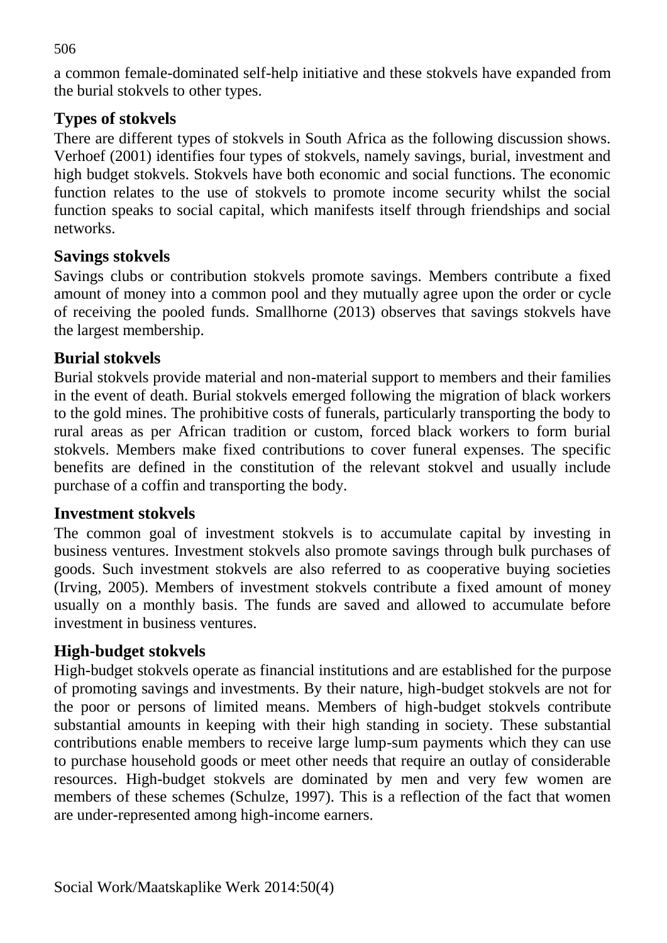a common female-dominated self-help initiative and these stokvels have expanded from the burial stokvels to other types.

### **Types of stokvels**

There are different types of stokvels in South Africa as the following discussion shows. Verhoef (2001) identifies four types of stokvels, namely savings, burial, investment and high budget stokvels. Stokvels have both economic and social functions. The economic function relates to the use of stokvels to promote income security whilst the social function speaks to social capital, which manifests itself through friendships and social networks.

### **Savings stokvels**

Savings clubs or contribution stokvels promote savings. Members contribute a fixed amount of money into a common pool and they mutually agree upon the order or cycle of receiving the pooled funds. Smallhorne (2013) observes that savings stokvels have the largest membership.

### **Burial stokvels**

Burial stokvels provide material and non-material support to members and their families in the event of death. Burial stokvels emerged following the migration of black workers to the gold mines. The prohibitive costs of funerals, particularly transporting the body to rural areas as per African tradition or custom, forced black workers to form burial stokvels. Members make fixed contributions to cover funeral expenses. The specific benefits are defined in the constitution of the relevant stokvel and usually include purchase of a coffin and transporting the body.

### **Investment stokvels**

The common goal of investment stokvels is to accumulate capital by investing in business ventures. Investment stokvels also promote savings through bulk purchases of goods. Such investment stokvels are also referred to as cooperative buying societies (Irving, 2005). Members of investment stokvels contribute a fixed amount of money usually on a monthly basis. The funds are saved and allowed to accumulate before investment in business ventures.

# **High-budget stokvels**

High-budget stokvels operate as financial institutions and are established for the purpose of promoting savings and investments. By their nature, high-budget stokvels are not for the poor or persons of limited means. Members of high-budget stokvels contribute substantial amounts in keeping with their high standing in society. These substantial contributions enable members to receive large lump-sum payments which they can use to purchase household goods or meet other needs that require an outlay of considerable resources. High-budget stokvels are dominated by men and very few women are members of these schemes (Schulze, 1997). This is a reflection of the fact that women are under-represented among high-income earners.

#### 506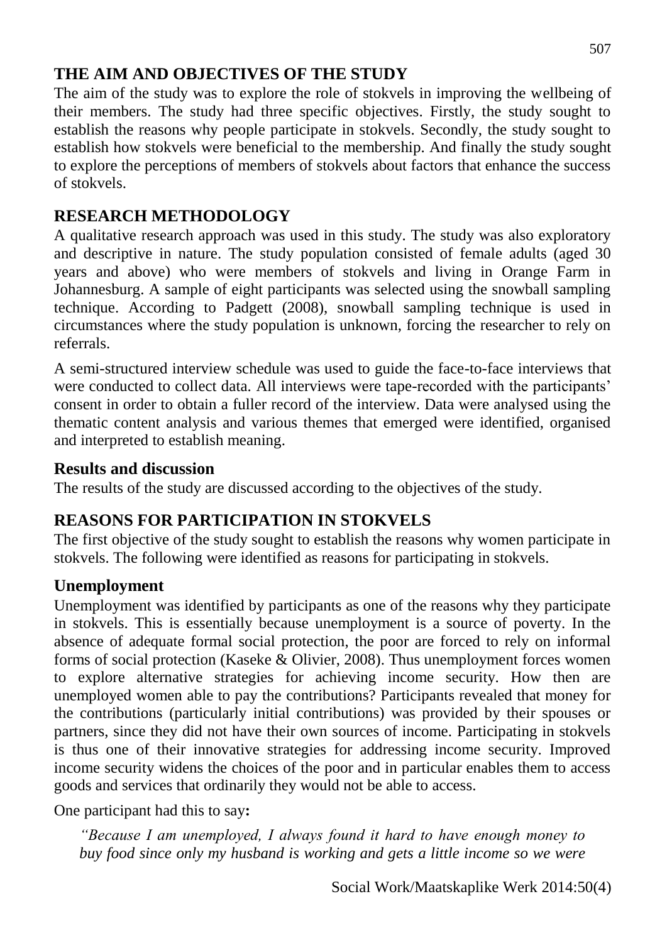### **THE AIM AND OBJECTIVES OF THE STUDY**

The aim of the study was to explore the role of stokvels in improving the wellbeing of their members. The study had three specific objectives. Firstly, the study sought to establish the reasons why people participate in stokvels. Secondly, the study sought to establish how stokvels were beneficial to the membership. And finally the study sought to explore the perceptions of members of stokvels about factors that enhance the success of stokvels.

### **RESEARCH METHODOLOGY**

A qualitative research approach was used in this study. The study was also exploratory and descriptive in nature. The study population consisted of female adults (aged 30 years and above) who were members of stokvels and living in Orange Farm in Johannesburg. A sample of eight participants was selected using the snowball sampling technique. According to Padgett (2008), snowball sampling technique is used in circumstances where the study population is unknown, forcing the researcher to rely on referrals.

A semi-structured interview schedule was used to guide the face-to-face interviews that were conducted to collect data. All interviews were tape-recorded with the participants' consent in order to obtain a fuller record of the interview. Data were analysed using the thematic content analysis and various themes that emerged were identified, organised and interpreted to establish meaning.

#### **Results and discussion**

The results of the study are discussed according to the objectives of the study.

### **REASONS FOR PARTICIPATION IN STOKVELS**

The first objective of the study sought to establish the reasons why women participate in stokvels. The following were identified as reasons for participating in stokvels.

### **Unemployment**

Unemployment was identified by participants as one of the reasons why they participate in stokvels. This is essentially because unemployment is a source of poverty. In the absence of adequate formal social protection, the poor are forced to rely on informal forms of social protection (Kaseke & Olivier, 2008). Thus unemployment forces women to explore alternative strategies for achieving income security. How then are unemployed women able to pay the contributions? Participants revealed that money for the contributions (particularly initial contributions) was provided by their spouses or partners, since they did not have their own sources of income. Participating in stokvels is thus one of their innovative strategies for addressing income security. Improved income security widens the choices of the poor and in particular enables them to access goods and services that ordinarily they would not be able to access.

One participant had this to say**:**

*"Because I am unemployed, I always found it hard to have enough money to buy food since only my husband is working and gets a little income so we were* 

Social Work/Maatskaplike Werk 2014:50(4)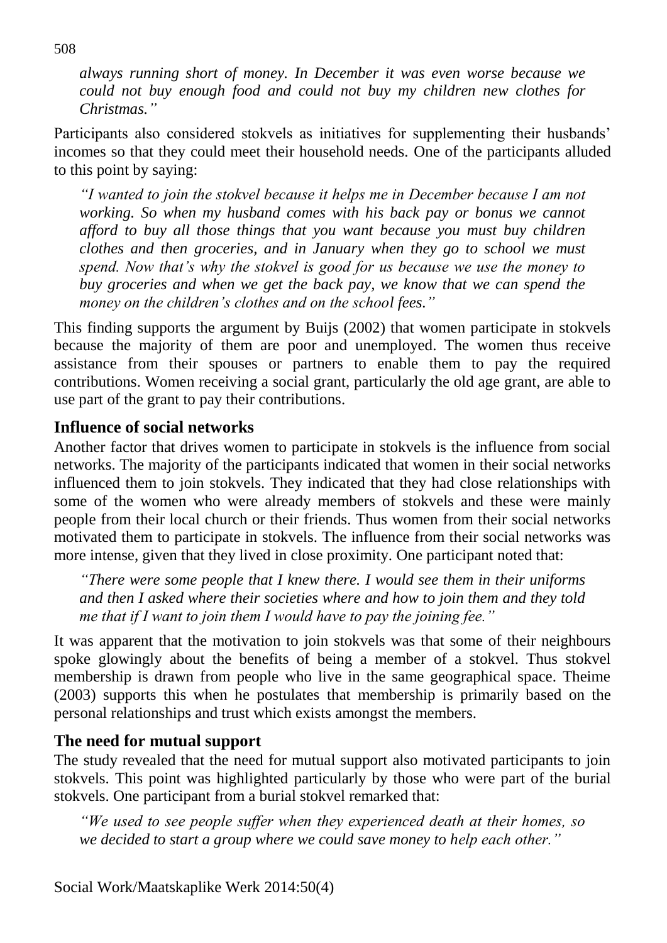*always running short of money. In December it was even worse because we could not buy enough food and could not buy my children new clothes for Christmas."*

Participants also considered stokvels as initiatives for supplementing their husbands' incomes so that they could meet their household needs. One of the participants alluded to this point by saying:

*"I wanted to join the stokvel because it helps me in December because I am not working. So when my husband comes with his back pay or bonus we cannot afford to buy all those things that you want because you must buy children clothes and then groceries, and in January when they go to school we must spend. Now that's why the stokvel is good for us because we use the money to buy groceries and when we get the back pay, we know that we can spend the money on the children's clothes and on the school fees."* 

This finding supports the argument by Buijs (2002) that women participate in stokvels because the majority of them are poor and unemployed. The women thus receive assistance from their spouses or partners to enable them to pay the required contributions. Women receiving a social grant, particularly the old age grant, are able to use part of the grant to pay their contributions.

#### **Influence of social networks**

Another factor that drives women to participate in stokvels is the influence from social networks. The majority of the participants indicated that women in their social networks influenced them to join stokvels. They indicated that they had close relationships with some of the women who were already members of stokvels and these were mainly people from their local church or their friends. Thus women from their social networks motivated them to participate in stokvels. The influence from their social networks was more intense, given that they lived in close proximity. One participant noted that:

*"There were some people that I knew there. I would see them in their uniforms and then I asked where their societies where and how to join them and they told me that if I want to join them I would have to pay the joining fee."* 

It was apparent that the motivation to join stokvels was that some of their neighbours spoke glowingly about the benefits of being a member of a stokvel. Thus stokvel membership is drawn from people who live in the same geographical space. Theime (2003) supports this when he postulates that membership is primarily based on the personal relationships and trust which exists amongst the members.

#### **The need for mutual support**

The study revealed that the need for mutual support also motivated participants to join stokvels. This point was highlighted particularly by those who were part of the burial stokvels. One participant from a burial stokvel remarked that:

*"We used to see people suffer when they experienced death at their homes, so we decided to start a group where we could save money to help each other."*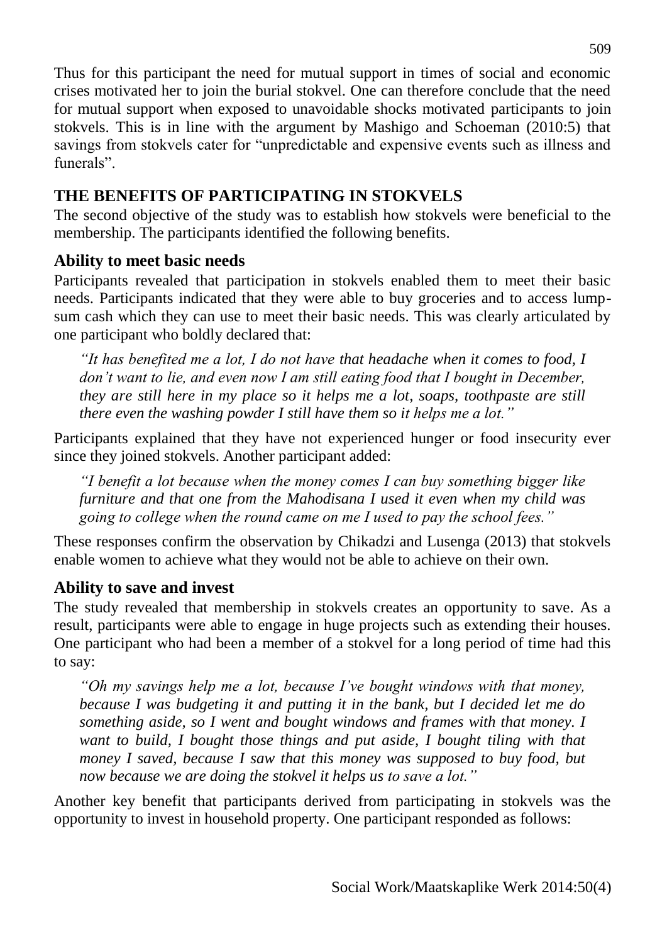Thus for this participant the need for mutual support in times of social and economic crises motivated her to join the burial stokvel. One can therefore conclude that the need for mutual support when exposed to unavoidable shocks motivated participants to join stokvels. This is in line with the argument by Mashigo and Schoeman (2010:5) that savings from stokvels cater for "unpredictable and expensive events such as illness and funerals".

### **THE BENEFITS OF PARTICIPATING IN STOKVELS**

The second objective of the study was to establish how stokvels were beneficial to the membership. The participants identified the following benefits.

### **Ability to meet basic needs**

Participants revealed that participation in stokvels enabled them to meet their basic needs. Participants indicated that they were able to buy groceries and to access lumpsum cash which they can use to meet their basic needs. This was clearly articulated by one participant who boldly declared that:

*"It has benefited me a lot, I do not have that headache when it comes to food, I don't want to lie, and even now I am still eating food that I bought in December, they are still here in my place so it helps me a lot, soaps, toothpaste are still there even the washing powder I still have them so it helps me a lot."*

Participants explained that they have not experienced hunger or food insecurity ever since they joined stokvels. Another participant added:

*"I benefit a lot because when the money comes I can buy something bigger like furniture and that one from the Mahodisana I used it even when my child was going to college when the round came on me I used to pay the school fees."* 

These responses confirm the observation by Chikadzi and Lusenga (2013) that stokvels enable women to achieve what they would not be able to achieve on their own.

### **Ability to save and invest**

The study revealed that membership in stokvels creates an opportunity to save. As a result, participants were able to engage in huge projects such as extending their houses. One participant who had been a member of a stokvel for a long period of time had this to say:

*"Oh my savings help me a lot, because I've bought windows with that money, because I was budgeting it and putting it in the bank, but I decided let me do something aside, so I went and bought windows and frames with that money. I want to build, I bought those things and put aside, I bought tiling with that money I saved, because I saw that this money was supposed to buy food, but now because we are doing the stokvel it helps us to save a lot."*

Another key benefit that participants derived from participating in stokvels was the opportunity to invest in household property. One participant responded as follows: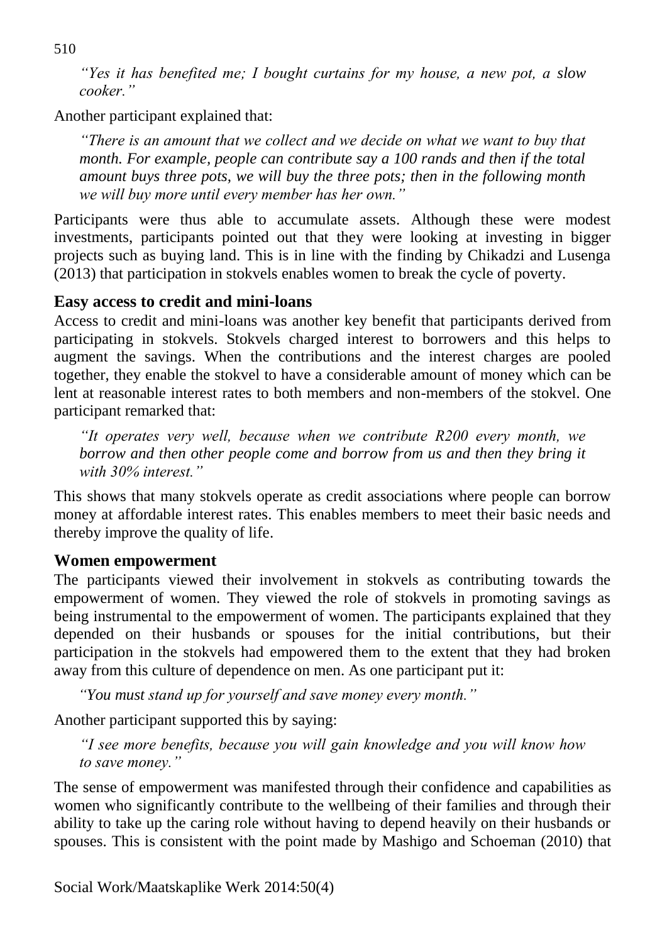*"Yes it has benefited me; I bought curtains for my house, a new pot, a slow cooker."*

Another participant explained that:

*"There is an amount that we collect and we decide on what we want to buy that month. For example, people can contribute say a 100 rands and then if the total amount buys three pots, we will buy the three pots; then in the following month we will buy more until every member has her own."* 

Participants were thus able to accumulate assets. Although these were modest investments, participants pointed out that they were looking at investing in bigger projects such as buying land. This is in line with the finding by Chikadzi and Lusenga (2013) that participation in stokvels enables women to break the cycle of poverty.

### **Easy access to credit and mini-loans**

Access to credit and mini-loans was another key benefit that participants derived from participating in stokvels. Stokvels charged interest to borrowers and this helps to augment the savings. When the contributions and the interest charges are pooled together, they enable the stokvel to have a considerable amount of money which can be lent at reasonable interest rates to both members and non-members of the stokvel. One participant remarked that:

*"It operates very well, because when we contribute R200 every month, we borrow and then other people come and borrow from us and then they bring it with 30% interest."*

This shows that many stokvels operate as credit associations where people can borrow money at affordable interest rates. This enables members to meet their basic needs and thereby improve the quality of life.

#### **Women empowerment**

The participants viewed their involvement in stokvels as contributing towards the empowerment of women. They viewed the role of stokvels in promoting savings as being instrumental to the empowerment of women. The participants explained that they depended on their husbands or spouses for the initial contributions, but their participation in the stokvels had empowered them to the extent that they had broken away from this culture of dependence on men. As one participant put it:

*"You must stand up for yourself and save money every month."* 

Another participant supported this by saying:

*"I see more benefits, because you will gain knowledge and you will know how to save money."* 

The sense of empowerment was manifested through their confidence and capabilities as women who significantly contribute to the wellbeing of their families and through their ability to take up the caring role without having to depend heavily on their husbands or spouses. This is consistent with the point made by Mashigo and Schoeman (2010) that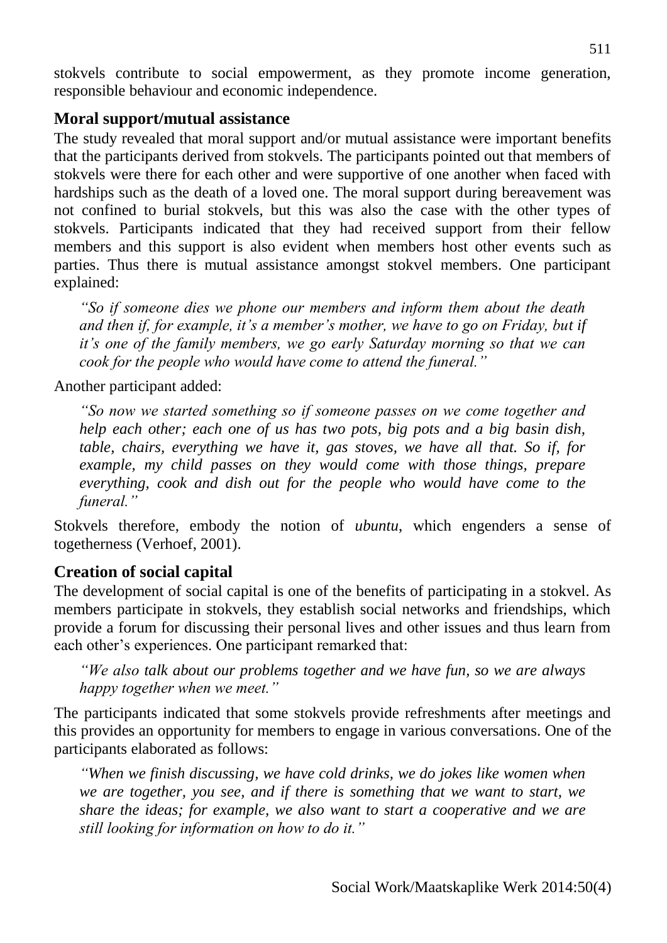stokvels contribute to social empowerment, as they promote income generation, responsible behaviour and economic independence.

### **Moral support/mutual assistance**

The study revealed that moral support and/or mutual assistance were important benefits that the participants derived from stokvels. The participants pointed out that members of stokvels were there for each other and were supportive of one another when faced with hardships such as the death of a loved one. The moral support during bereavement was not confined to burial stokvels, but this was also the case with the other types of stokvels. Participants indicated that they had received support from their fellow members and this support is also evident when members host other events such as parties. Thus there is mutual assistance amongst stokvel members. One participant explained:

*"So if someone dies we phone our members and inform them about the death and then if, for example, it's a member's mother, we have to go on Friday, but if it's one of the family members, we go early Saturday morning so that we can cook for the people who would have come to attend the funeral."* 

Another participant added:

*"So now we started something so if someone passes on we come together and help each other; each one of us has two pots, big pots and a big basin dish, table, chairs, everything we have it, gas stoves, we have all that. So if, for example, my child passes on they would come with those things, prepare everything, cook and dish out for the people who would have come to the funeral."*

Stokvels therefore, embody the notion of *ubuntu*, which engenders a sense of togetherness (Verhoef, 2001).

### **Creation of social capital**

The development of social capital is one of the benefits of participating in a stokvel. As members participate in stokvels, they establish social networks and friendships, which provide a forum for discussing their personal lives and other issues and thus learn from each other's experiences. One participant remarked that:

*"We also talk about our problems together and we have fun, so we are always happy together when we meet."*

The participants indicated that some stokvels provide refreshments after meetings and this provides an opportunity for members to engage in various conversations. One of the participants elaborated as follows:

*"When we finish discussing, we have cold drinks, we do jokes like women when we are together, you see, and if there is something that we want to start, we share the ideas; for example, we also want to start a cooperative and we are still looking for information on how to do it."*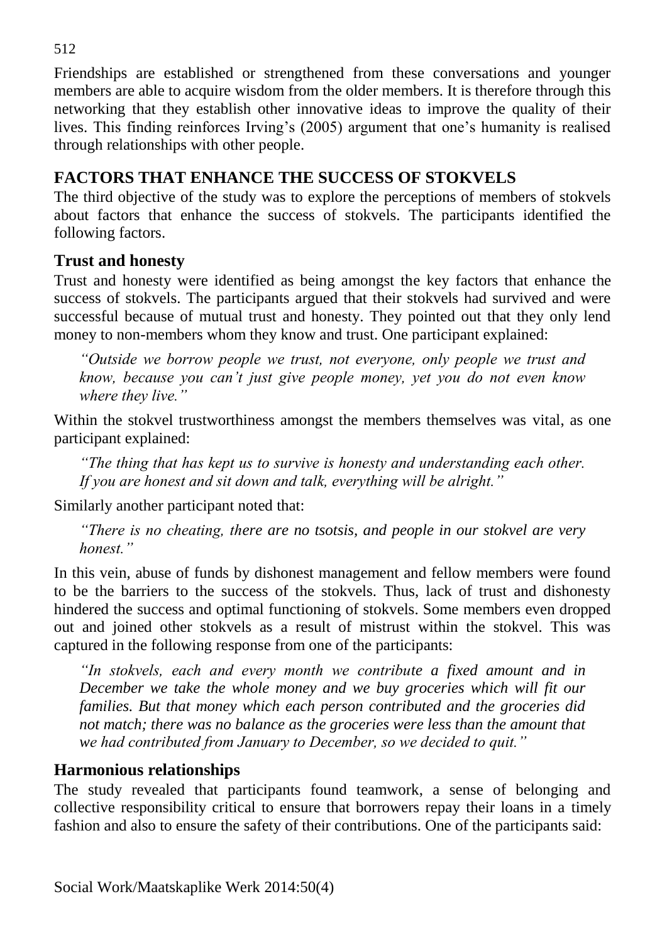Friendships are established or strengthened from these conversations and younger members are able to acquire wisdom from the older members. It is therefore through this networking that they establish other innovative ideas to improve the quality of their lives. This finding reinforces Irving's (2005) argument that one's humanity is realised through relationships with other people.

## **FACTORS THAT ENHANCE THE SUCCESS OF STOKVELS**

The third objective of the study was to explore the perceptions of members of stokvels about factors that enhance the success of stokvels. The participants identified the following factors.

### **Trust and honesty**

Trust and honesty were identified as being amongst the key factors that enhance the success of stokvels. The participants argued that their stokvels had survived and were successful because of mutual trust and honesty. They pointed out that they only lend money to non-members whom they know and trust. One participant explained:

*"Outside we borrow people we trust, not everyone, only people we trust and know, because you can't just give people money, yet you do not even know where they live."*

Within the stokvel trustworthiness amongst the members themselves was vital, as one participant explained:

*"The thing that has kept us to survive is honesty and understanding each other. If you are honest and sit down and talk, everything will be alright."*

Similarly another participant noted that:

*"There is no cheating, there are no tsotsis, and people in our stokvel are very honest."*

In this vein, abuse of funds by dishonest management and fellow members were found to be the barriers to the success of the stokvels. Thus, lack of trust and dishonesty hindered the success and optimal functioning of stokvels. Some members even dropped out and joined other stokvels as a result of mistrust within the stokvel. This was captured in the following response from one of the participants:

*"In stokvels, each and every month we contribute a fixed amount and in December we take the whole money and we buy groceries which will fit our families. But that money which each person contributed and the groceries did not match; there was no balance as the groceries were less than the amount that we had contributed from January to December, so we decided to quit."* 

### **Harmonious relationships**

The study revealed that participants found teamwork, a sense of belonging and collective responsibility critical to ensure that borrowers repay their loans in a timely fashion and also to ensure the safety of their contributions. One of the participants said: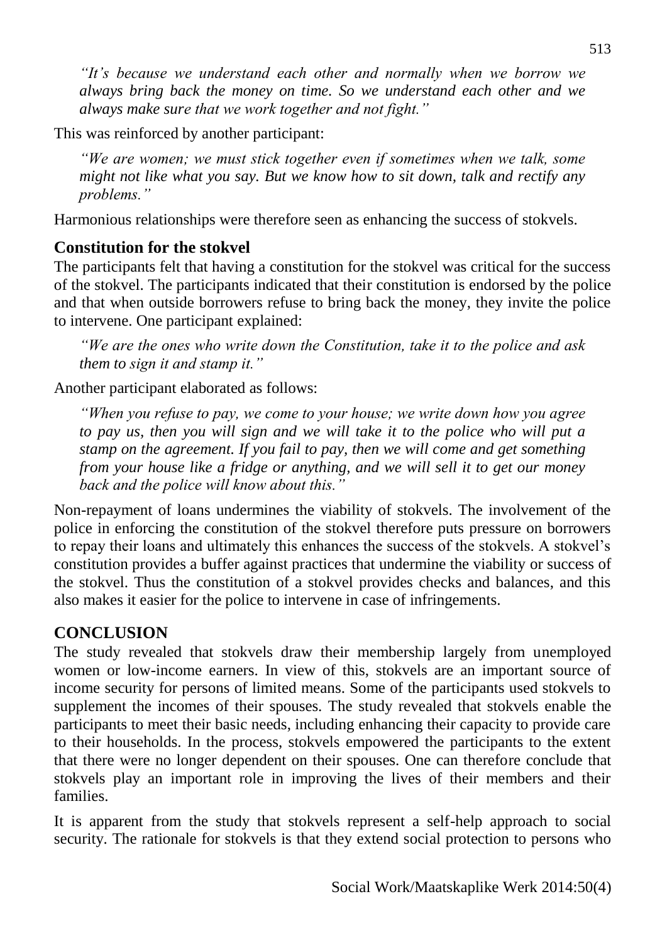*"It's because we understand each other and normally when we borrow we always bring back the money on time. So we understand each other and we always make sure that we work together and not fight."* 

This was reinforced by another participant:

*"We are women; we must stick together even if sometimes when we talk, some might not like what you say. But we know how to sit down, talk and rectify any problems."* 

Harmonious relationships were therefore seen as enhancing the success of stokvels.

# **Constitution for the stokvel**

The participants felt that having a constitution for the stokvel was critical for the success of the stokvel. The participants indicated that their constitution is endorsed by the police and that when outside borrowers refuse to bring back the money, they invite the police to intervene. One participant explained:

*"We are the ones who write down the Constitution, take it to the police and ask them to sign it and stamp it."*

Another participant elaborated as follows:

*"When you refuse to pay, we come to your house; we write down how you agree to pay us, then you will sign and we will take it to the police who will put a stamp on the agreement. If you fail to pay, then we will come and get something from your house like a fridge or anything, and we will sell it to get our money back and the police will know about this."* 

Non-repayment of loans undermines the viability of stokvels. The involvement of the police in enforcing the constitution of the stokvel therefore puts pressure on borrowers to repay their loans and ultimately this enhances the success of the stokvels. A stokvel's constitution provides a buffer against practices that undermine the viability or success of the stokvel. Thus the constitution of a stokvel provides checks and balances, and this also makes it easier for the police to intervene in case of infringements.

# **CONCLUSION**

The study revealed that stokvels draw their membership largely from unemployed women or low-income earners. In view of this, stokvels are an important source of income security for persons of limited means. Some of the participants used stokvels to supplement the incomes of their spouses. The study revealed that stokvels enable the participants to meet their basic needs, including enhancing their capacity to provide care to their households. In the process, stokvels empowered the participants to the extent that there were no longer dependent on their spouses. One can therefore conclude that stokvels play an important role in improving the lives of their members and their families.

It is apparent from the study that stokvels represent a self-help approach to social security. The rationale for stokvels is that they extend social protection to persons who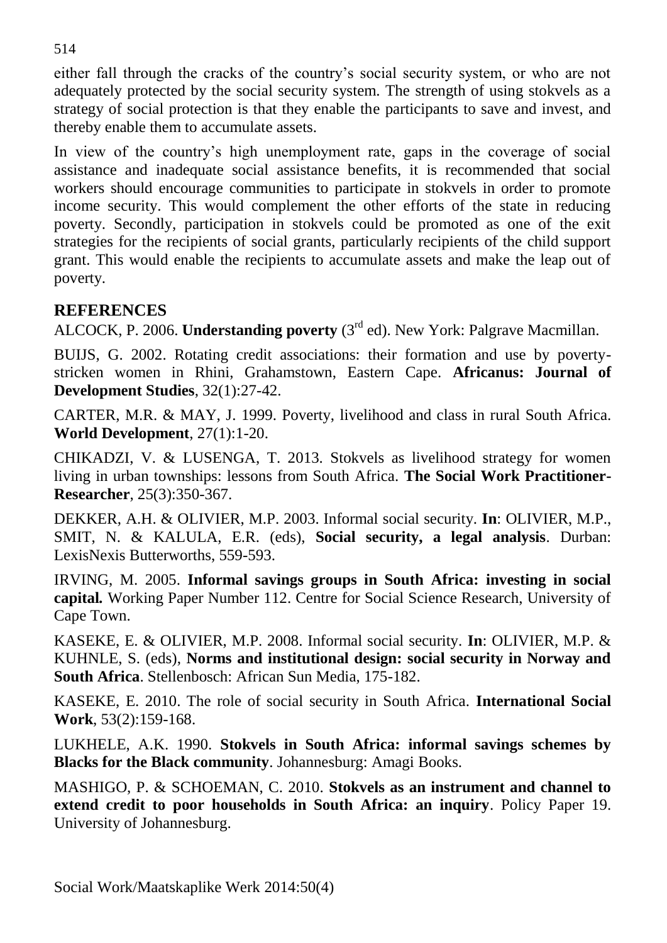either fall through the cracks of the country's social security system, or who are not adequately protected by the social security system. The strength of using stokvels as a strategy of social protection is that they enable the participants to save and invest, and thereby enable them to accumulate assets.

In view of the country's high unemployment rate, gaps in the coverage of social assistance and inadequate social assistance benefits, it is recommended that social workers should encourage communities to participate in stokvels in order to promote income security. This would complement the other efforts of the state in reducing poverty. Secondly, participation in stokvels could be promoted as one of the exit strategies for the recipients of social grants, particularly recipients of the child support grant. This would enable the recipients to accumulate assets and make the leap out of poverty.

### **REFERENCES**

ALCOCK, P. 2006. **Understanding poverty** (3rd ed). New York: Palgrave Macmillan.

BUIJS, G. 2002. Rotating credit associations: their formation and use by povertystricken women in Rhini, Grahamstown, Eastern Cape. **Africanus: Journal of Development Studies**, 32(1):27-42.

CARTER, M.R. & MAY, J. 1999. Poverty, livelihood and class in rural South Africa. **World Development**, 27(1):1-20.

CHIKADZI, V. & LUSENGA, T. 2013. Stokvels as livelihood strategy for women living in urban townships: lessons from South Africa. **The Social Work Practitioner-Researcher**, 25(3):350-367.

DEKKER, A.H. & OLIVIER, M.P. 2003. Informal social security. **In**: OLIVIER, M.P., SMIT, N. & KALULA, E.R. (eds), **Social security, a legal analysis**. Durban: LexisNexis Butterworths, 559-593.

IRVING, M. 2005. **Informal savings groups in South Africa: investing in social capital***.* Working Paper Number 112. Centre for Social Science Research, University of Cape Town.

KASEKE, E. & OLIVIER, M.P. 2008. Informal social security. **In**: OLIVIER, M.P. & KUHNLE, S. (eds), **Norms and institutional design: social security in Norway and South Africa**. Stellenbosch: African Sun Media, 175-182.

KASEKE, E. 2010. The role of social security in South Africa. **International Social Work**, 53(2):159-168.

LUKHELE, A.K. 1990. **Stokvels in South Africa: informal savings schemes by Blacks for the Black community**. Johannesburg: Amagi Books.

MASHIGO, P. & SCHOEMAN, C. 2010. **Stokvels as an instrument and channel to extend credit to poor households in South Africa: an inquiry**. Policy Paper 19. University of Johannesburg.